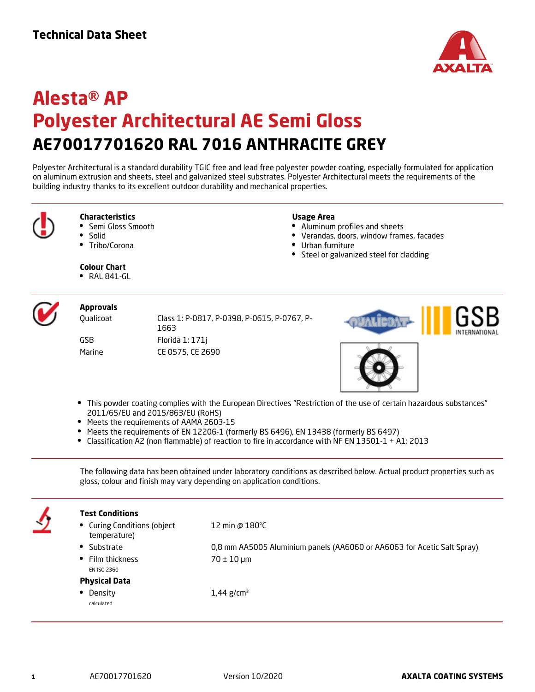

# **Alesta® AP Polyester Architectural AE Semi Gloss AE70017701620 RAL 7016 ANTHRACITE GREY**

Polyester Architectural is a standard durability TGIC free and lead free polyester powder coating, especially formulated for application on aluminum extrusion and sheets, steel and galvanized steel substrates. Polyester Architectural meets the requirements of the building industry thanks to its excellent outdoor durability and mechanical properties.



## **Characteristics**

- Semi Gloss Smooth
- Solid
- $\bullet$ Tribo/Corona

#### **Usage Area**

- Aluminum profiles and sheets
- $\bullet$ Verandas, doors, window frames, facades
- Urban furniture
- Steel or galvanized steel for cladding

**Colour Chart** 

 $\bullet$  RAL 841-GL



## **Approvals**

Qualicoat Class 1: P-0817, P-0398, P-0615, P-0767, P-1663 GSB Florida 1: 171j Marine CE 0575, CE 2690





- This powder coating complies with the European Directives "Restriction of the use of certain hazardous substances" 2011/65/EU and 2015/863/EU (RoHS)
- Meets the requirements of AAMA 2603-15
- Meets the requirements of EN 12206-1 (formerly BS 6496), EN 13438 (formerly BS 6497)
- Classification A2 (non flammable) of reaction to fire in accordance with NF EN 13501-1 + A1: 2013

The following data has been obtained under laboratory conditions as described below. Actual product properties such as gloss, colour and finish may vary depending on application conditions.

**Test Conditions** Curing Conditions (object temperature) 12 min @ 180°C Substrate 0,8 mm AA5005 Aluminium panels (AA6060 or AA6063 for Acetic Salt Spray) Film thickness EN ISO 2360 70 ± 10 µm **Physical Data** • Density calculated  $1,44$  g/cm<sup>3</sup>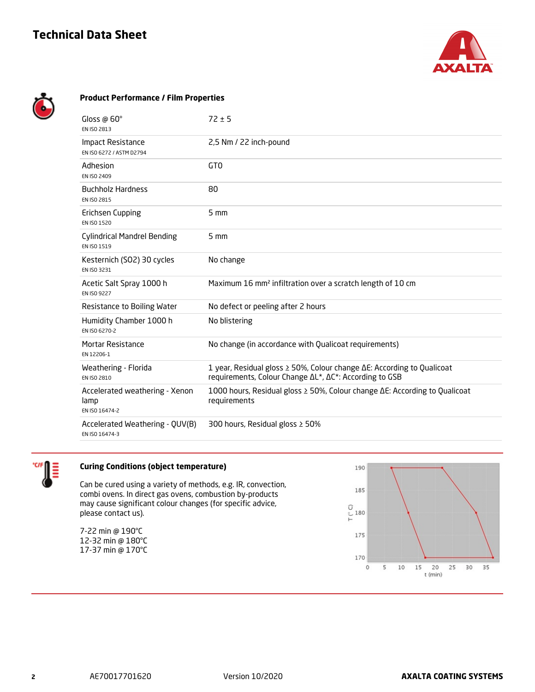# **Technical Data Sheet**



| <b>Product Performance / Film Properties</b>             |                                                                                                                                           |
|----------------------------------------------------------|-------------------------------------------------------------------------------------------------------------------------------------------|
| Gloss $\omega$ 60 $^{\circ}$<br>EN ISO 2813              | $72 \pm 5$                                                                                                                                |
| Impact Resistance<br>EN ISO 6272 / ASTM D2794            | 2,5 Nm / 22 inch-pound                                                                                                                    |
| Adhesion<br>EN ISO 2409                                  | GT <sub>0</sub>                                                                                                                           |
| <b>Buchholz Hardness</b><br>EN ISO 2815                  | 80                                                                                                                                        |
| Erichsen Cupping<br>EN ISO 1520                          | 5 mm                                                                                                                                      |
| <b>Cylindrical Mandrel Bending</b><br>EN ISO 1519        | $5 \text{ mm}$                                                                                                                            |
| Kesternich (SO2) 30 cycles<br>EN ISO 3231                | No change                                                                                                                                 |
| Acetic Salt Spray 1000 h<br>EN ISO 9227                  | Maximum 16 mm <sup>2</sup> infiltration over a scratch length of 10 cm                                                                    |
| Resistance to Boiling Water                              | No defect or peeling after 2 hours                                                                                                        |
| Humidity Chamber 1000 h<br>EN ISO 6270-2                 | No blistering                                                                                                                             |
| <b>Mortar Resistance</b><br>EN 12206-1                   | No change (in accordance with Qualicoat requirements)                                                                                     |
| Weathering - Florida<br>EN ISO 2810                      | 1 year, Residual gloss ≥ 50%, Colour change $\Delta E$ : According to Qualicoat<br>requirements, Colour Change ΔL*, ΔC*: According to GSB |
| Accelerated weathering - Xenon<br>lamp<br>EN ISO 16474-2 | 1000 hours, Residual gloss ≥ 50%, Colour change ∆E: According to Qualicoat<br>requirements                                                |
| Accelerated Weathering - QUV(B)<br>EN ISO 16474-3        | 300 hours, Residual gloss $\geq$ 50%                                                                                                      |



# **Curing Conditions (object temperature)**

Can be cured using a variety of methods, e.g. IR, convection, combi ovens. In direct gas ovens, combustion by-products may cause significant colour changes (for specific advice, please contact us).

7-22 min @ 190°C 12-32 min @ 180°C 17-37 min @ 170°C

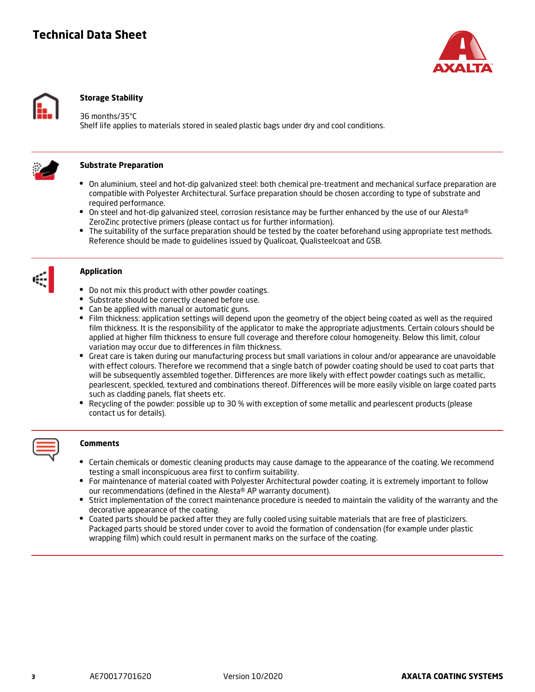# **Technical Data Sheet**





## **Storage Stability**

#### 36 months/35°C

Shelf life applies to materials stored in sealed plastic bags under dry and cool conditions.



#### **Substrate Preparation**

- On aluminium, steel and hot-dip galvanized steel: both chemical pre-treatment and mechanical surface preparation are compatible with Polyester Architectural. Surface preparation should be chosen according to type of substrate and required performance.
- On steel and hot-dip galvanized steel, corrosion resistance may be further enhanced by the use of our Alesta® ZeroZinc protective primers (please contact us for further information).
- The suitability of the surface preparation should be tested by the coater beforehand using appropriate test methods. Reference should be made to guidelines issued by Qualicoat, Qualisteelcoat and GSB.



## **Application**

- Do not mix this product with other powder coatings.
- Substrate should be correctly cleaned before use.
- Can be applied with manual or automatic guns.
- Film thickness: application settings will depend upon the geometry of the object being coated as well as the required film thickness. It is the responsibility of the applicator to make the appropriate adjustments. Certain colours should be applied at higher film thickness to ensure full coverage and therefore colour homogeneity. Below this limit, colour variation may occur due to differences in film thickness.
- Great care is taken during our manufacturing process but small variations in colour and/or appearance are unavoidable with effect colours. Therefore we recommend that a single batch of powder coating should be used to coat parts that will be subsequently assembled together. Differences are more likely with effect powder coatings such as metallic, pearlescent, speckled, textured and combinations thereof. Differences will be more easily visible on large coated parts such as cladding panels, flat sheets etc.
- Recycling of the powder: possible up to 30 % with exception of some metallic and pearlescent products (please contact us for details).



#### **Comments**

- Certain chemicals or domestic cleaning products may cause damage to the appearance of the coating. We recommend testing a small inconspicuous area first to confirm suitability.
- For maintenance of material coated with Polyester Architectural powder coating, it is extremely important to follow our recommendations (defined in the Alesta® AP warranty document).
- Strict implementation of the correct maintenance procedure is needed to maintain the validity of the warranty and the decorative appearance of the coating.
- Coated parts should be packed after they are fully cooled using suitable materials that are free of plasticizers. Packaged parts should be stored under cover to avoid the formation of condensation (for example under plastic wrapping film) which could result in permanent marks on the surface of the coating.